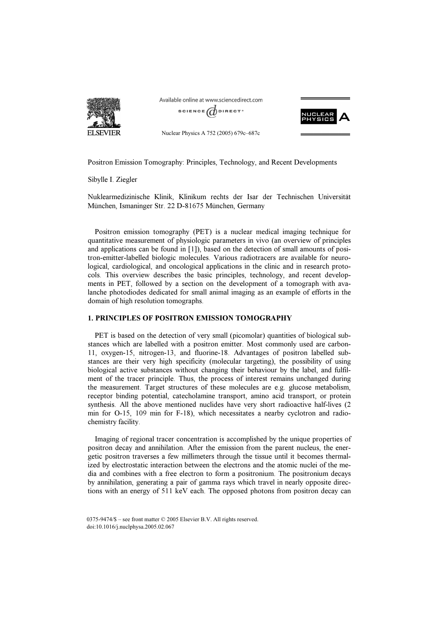

Available online at www.sciencedirect.com





Nuclear Physics A 752 (2005) 679c–687c

Positron Emission Tomography: Principles, Technology, and Recent Developments

Sibylle I. Ziegler

Nuklearmedizinische Klinik, Klinikum rechts der Isar der Technischen Universität München, Ismaninger Str. 22 D-81675 München, Germany

Positron emission tomography (PET) is a nuclear medical imaging technique for quantitative measurement of physiologic parameters in vivo (an overview of principles and applications can be found in [1]), based on the detection of small amounts of positron-emitter-labelled biologic molecules. Various radiotracers are available for neurological, cardiological, and oncological applications in the clinic and in research protocols. This overview describes the basic principles, technology, and recent developments in PET, followed by a section on the development of a tomograph with avalanche photodiodes dedicated for small animal imaging as an example of efforts in the domain of high resolution tomographs.

# 1. PRINCIPLES OF POSITRON EMISSION TOMOGRAPHY

PET is based on the detection of very small (picomolar) quantities of biological substances which are labelled with a positron emitter. Most commonly used are carbon-11, oxygen-15, nitrogen-13, and fluorine-18. Advantages of positron labelled substances are their very high specificity (molecular targeting), the possibility of using biological active substances without changing their behaviour by the label, and fulfilment of the tracer principle. Thus, the process of interest remains unchanged during the measurement. Target structures of these molecules are e.g. glucose metabolism, receptor binding potential, catecholamine transport, amino acid transport, or protein synthesis. All the above mentioned nuclides have very short radioactive half-lives (2 min for O-15, 109 min for F-18), which necessitates a nearby cyclotron and radiochemistry facility.

Imaging of regional tracer concentration is accomplished by the unique properties of positron decay and annihilation. After the emission from the parent nucleus, the energetic positron traverses a few millimeters through the tissue until it becomes thermalized by electrostatic interaction between the electrons and the atomic nuclei of the media and combines with a free electron to form a positronium. The positronium decays by annihilation, generating a pair of gamma rays which travel in nearly opposite directions with an energy of 511 keV each. The opposed photons from positron decay can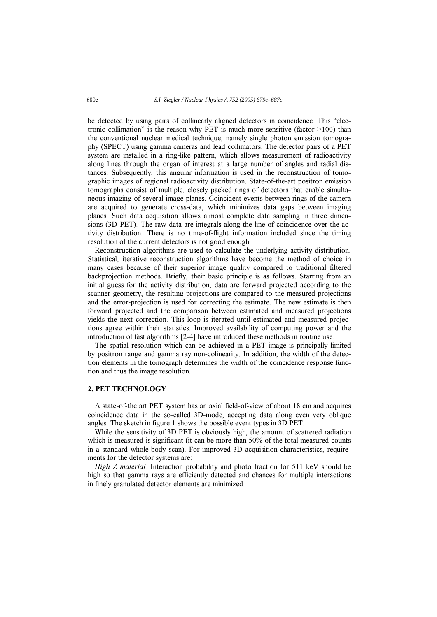be detected by using pairs of collinearly aligned detectors in coincidence. This "electronic collimation" is the reason why PET is much more sensitive (factor  $>100$ ) than the conventional nuclear medical technique, namely single photon emission tomography (SPECT) using gamma cameras and lead collimators. The detector pairs of a PET system are installed in a ring-like pattern, which allows measurement of radioactivity along lines through the organ of interest at a large number of angles and radial distances. Subsequently, this angular information is used in the reconstruction of tomographic images of regional radioactivity distribution. State-of-the-art positron emission tomographs consist of multiple, closely packed rings of detectors that enable simultaneous imaging of several image planes. Coincident events between rings of the camera are acquired to generate cross-data, which minimizes data gaps between imaging planes. Such data acquisition allows almost complete data sampling in three dimensions (3D PET). The raw data are integrals along the line-of-coincidence over the activity distribution. There is no time-of-flight information included since the timing resolution of the current detectors is not good enough.

Reconstruction algorithms are used to calculate the underlying activity distribution. Statistical, iterative reconstruction algorithms have become the method of choice in many cases because of their superior image quality compared to traditional filtered backprojection methods. Briefly, their basic principle is as follows. Starting from an initial guess for the activity distribution, data are forward projected according to the scanner geometry, the resulting projections are compared to the measured projections and the error-projection is used for correcting the estimate. The new estimate is then forward projected and the comparison between estimated and measured projections yields the next correction. This loop is iterated until estimated and measured projections agree within their statistics. Improved availability of computing power and the introduction of fast algorithms [2-4] have introduced these methods in routine use.

The spatial resolution which can be achieved in a PET image is principally limited by positron range and gamma ray non-colinearity. In addition, the width of the detection elements in the tomograph determines the width of the coincidence response function and thus the image resolution.

## 2. PET TECHNOLOGY

A state-of-the art PET system has an axial field-of-view of about 18 cm and acquires coincidence data in the so-called 3D-mode, accepting data along even very oblique angles. The sketch in figure 1 shows the possible event types in 3D PET.

While the sensitivity of 3D PET is obviously high, the amount of scattered radiation which is measured is significant (it can be more than 50% of the total measured counts in a standard whole-body scan). For improved 3D acquisition characteristics, requirements for the detector systems are:

High Z material. Interaction probability and photo fraction for 511 keV should be high so that gamma rays are efficiently detected and chances for multiple interactions in finely granulated detector elements are minimized.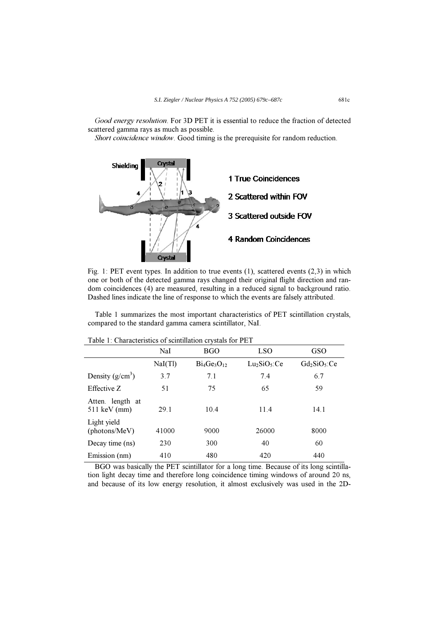Good energy resolution. For 3D PET it is essential to reduce the fraction of detected scattered gamma rays as much as possible.

Short coincidence window. Good timing is the prerequisite for random reduction.



Fig. 1: PET event types. In addition to true events  $(1)$ , scattered events  $(2,3)$  in which one or both of the detected gamma rays changed their original flight direction and random coincidences (4) are measured, resulting in a reduced signal to background ratio. Dashed lines indicate the line of response to which the events are falsely attributed.

Table 1 summarizes the most important characteristics of PET scintillation crystals, compared to the standard gamma camera scintillator, NaI.

|                                            | NaI     | <b>BGO</b>       | <b>LSO</b>                           | GSO            |
|--------------------------------------------|---------|------------------|--------------------------------------|----------------|
|                                            | NaI(Tl) | $Bi_4Ge_3O_{12}$ | Lu <sub>2</sub> SiO <sub>5</sub> :Ce | $Gd_2SiO_5:Ce$ |
| Density $(g/cm^3)$                         | 3.7     | 7.1              | 7.4                                  | 6.7            |
| Effective Z                                | 51      | 75               | 65                                   | 59             |
| Atten. length at<br>$511 \text{ keV (mm)}$ | 29.1    | 10.4             | 11.4                                 | 14.1           |
| Light yield<br>(photons/MeV)               | 41000   | 9000             | 26000                                | 8000           |
| Decay time (ns)                            | 230     | 300              | 40                                   | 60             |
| Emission (nm)                              | 410     | 480              | 420                                  | 440            |

Table 1: Characteristics of scintillation crystals for PET

BGO was basically the PET scintillator for a long time. Because of its long scintillation light decay time and therefore long coincidence timing windows of around 20 ns, and because of its low energy resolution, it almost exclusively was used in the 2D-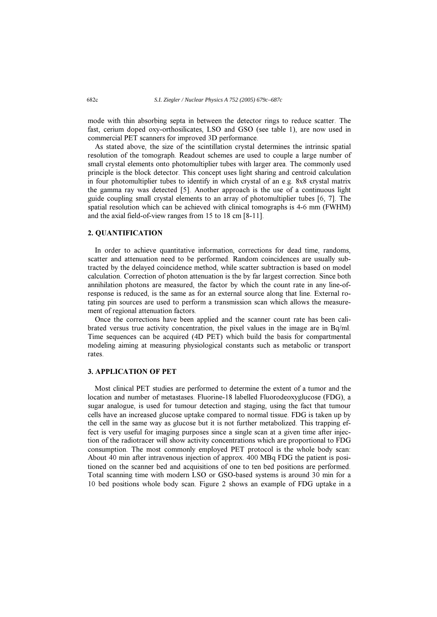mode with thin absorbing septa in between the detector rings to reduce scatter. The fast, cerium doped oxy-orthosilicates, LSO and GSO (see table 1), are now used in commercial PET scanners for improved 3D performance.

As stated above, the size of the scintillation crystal determines the intrinsic spatial resolution of the tomograph. Readout schemes are used to couple a large number of small crystal elements onto photomultiplier tubes with larger area. The commonly used principle is the block detector. This concept uses light sharing and centroid calculation in four photomultiplier tubes to identify in which crystal of an e.g. 8x8 crystal matrix the gamma ray was detected [5]. Another approach is the use of a continuous light guide coupling small crystal elements to an array of photomultiplier tubes [6, 7]. The spatial resolution which can be achieved with clinical tomographs is 4-6 mm (FWHM) and the axial field-of-view ranges from 15 to 18 cm [8-11].

#### 2. QUANTIFICATION

In order to achieve quantitative information, corrections for dead time, randoms, scatter and attenuation need to be performed. Random coincidences are usually subtracted by the delayed coincidence method, while scatter subtraction is based on model calculation. Correction of photon attenuation is the by far largest correction. Since both annihilation photons are measured, the factor by which the count rate in any line-ofresponse is reduced, is the same as for an external source along that line. External rotating pin sources are used to perform a transmission scan which allows the measurement of regional attenuation factors.

Once the corrections have been applied and the scanner count rate has been calibrated versus true activity concentration, the pixel values in the image are in Bq/ml. Time sequences can be acquired (4D PET) which build the basis for compartmental modeling aiming at measuring physiological constants such as metabolic or transport rates.

## 3. APPLICATION OF PET

Most clinical PET studies are performed to determine the extent of a tumor and the location and number of metastases. Fluorine-18 labelled Fluorodeoxyglucose (FDG), a sugar analogue, is used for tumour detection and staging, using the fact that tumour cells have an increased glucose uptake compared to normal tissue. FDG is taken up by the cell in the same way as glucose but it is not further metabolized. This trapping effect is very useful for imaging purposes since a single scan at a given time after injection of the radiotracer will show activity concentrations which are proportional to FDG consumption. The most commonly employed PET protocol is the whole body scan: About 40 min after intravenous injection of approx. 400 MBq FDG the patient is positioned on the scanner bed and acquisitions of one to ten bed positions are performed. Total scanning time with modern LSO or GSO-based systems is around 30 min for a 10 bed positions whole body scan. Figure 2 shows an example of FDG uptake in a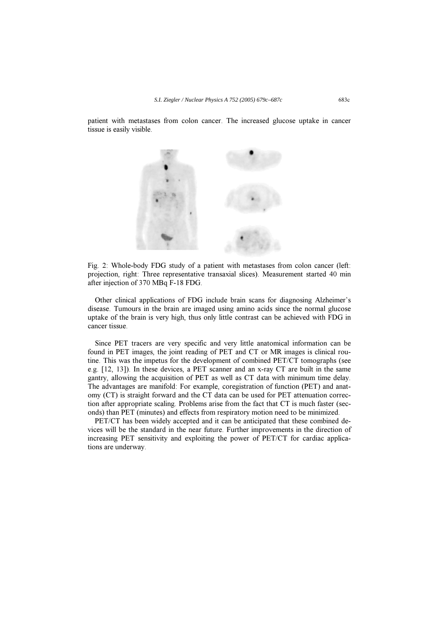patient with metastases from colon cancer. The increased glucose uptake in cancer tissue is easily visible.



Fig. 2: Whole-body FDG study of a patient with metastases from colon cancer (left: projection, right: Three representative transaxial slices). Measurement started 40 min after injection of 370 MBq F-18 FDG.

Other clinical applications of FDG include brain scans for diagnosing Alzheimer's disease. Tumours in the brain are imaged using amino acids since the normal glucose uptake of the brain is very high, thus only little contrast can be achieved with FDG in cancer tissue.

Since PET tracers are very specific and very little anatomical information can be found in PET images, the joint reading of PET and CT or MR images is clinical routine. This was the impetus for the development of combined PET/CT tomographs (see e.g. [12, 13]). In these devices, a PET scanner and an x-ray CT are built in the same gantry, allowing the acquisition of PET as well as CT data with minimum time delay. The advantages are manifold: For example, coregistration of function (PET) and anatomy (CT) is straight forward and the CT data can be used for PET attenuation correction after appropriate scaling. Problems arise from the fact that CT is much faster (seconds) than PET (minutes) and effects from respiratory motion need to be minimized.

PET/CT has been widely accepted and it can be anticipated that these combined devices will be the standard in the near future. Further improvements in the direction of increasing PET sensitivity and exploiting the power of PET/CT for cardiac applications are underway.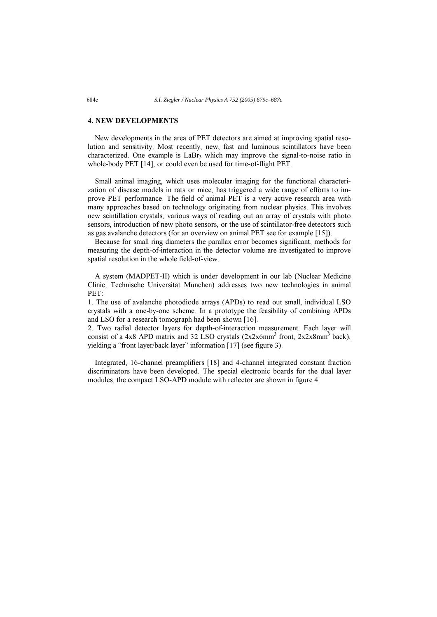#### 4. NEW DEVELOPMENTS

New developments in the area of PET detectors are aimed at improving spatial resolution and sensitivity. Most recently, new, fast and luminous scintillators have been characterized. One example is  $LaBr<sub>3</sub>$  which may improve the signal-to-noise ratio in whole-body PET [14], or could even be used for time-of-flight PET.

Small animal imaging, which uses molecular imaging for the functional characterization of disease models in rats or mice, has triggered a wide range of efforts to improve PET performance. The field of animal PET is a very active research area with many approaches based on technology originating from nuclear physics. This involves new scintillation crystals, various ways of reading out an array of crystals with photo sensors, introduction of new photo sensors, or the use of scintillator-free detectors such as gas avalanche detectors (for an overview on animal PET see for example [15]).

Because for small ring diameters the parallax error becomes significant, methods for measuring the depth-of-interaction in the detector volume are investigated to improve spatial resolution in the whole field-of-view.

A system (MADPET-II) which is under development in our lab (Nuclear Medicine Clinic, Technische Universität München) addresses two new technologies in animal PET:

1. The use of avalanche photodiode arrays (APDs) to read out small, individual LSO crystals with a one-by-one scheme. In a prototype the feasibility of combining APDs and LSO for a research tomograph had been shown [16].

2. Two radial detector layers for depth-of-interaction measurement. Each layer will consist of a 4x8 APD matrix and 32 LSO crystals  $(2x2x6mm^3$  front,  $2x2x8mm^3$  back), yielding a "front layer/back layer" information [17] (see figure 3).

Integrated, 16-channel preamplifiers [18] and 4-channel integrated constant fraction discriminators have been developed. The special electronic boards for the dual layer modules, the compact LSO-APD module with reflector are shown in figure 4.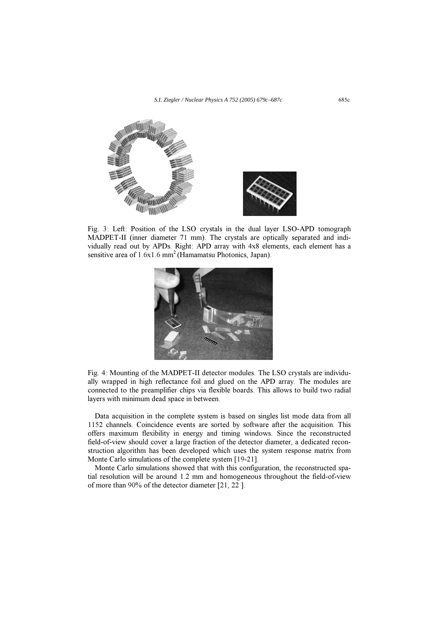

Fig. 3: Left: Position of the LSO crystals in the dual layer LSO-APD tomograph MADPET-II (inner diameter 71 mm). The crystals are optically separated and individually read out by APDs. Right: APD array with 4x8 elements, each element has a sensitive area of  $1.6x1.6$  mm<sup>2</sup> (Hamamatsu Photonics, Japan).



Fig. 4: Mounting of the MADPET-II detector modules. The LSO crystals are individually wrapped in high reflectance foil and glued on the APD array. The modules are connected to the preamplifier chips via flexible boards. This allows to build two radial layers with minimum dead space in between.

Data acquisition in the complete system is based on singles list mode data from all 1152 channels. Coincidence events are sorted by software after the acquisition. This offers maximum flexibility in energy and timing windows. Since the reconstructed field-of-view should cover a large fraction of the detector diameter, a dedicated reconstruction algorithm has been developed which uses the system response matrix from Monte Carlo simulations of the complete system [19-21].

Monte Carlo simulations showed that with this configuration, the reconstructed spatial resolution will be around 1.2 mm and homogeneous throughout the field-of-view of more than 90% of the detector diameter [21, 22 ].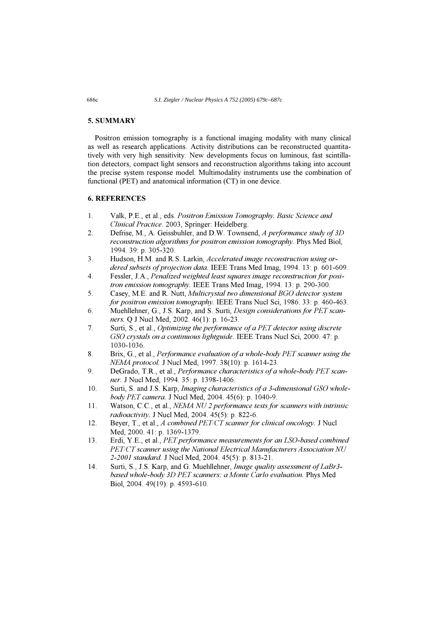# 5. SUMMARY

Positron emission tomography is a functional imaging modality with many clinical as well as research applications. Activity distributions can be reconstructed quantitatively with very high sensitivity. New developments focus on luminous, fast scintillation detectors, compact light sensors and reconstruction algorithms taking into account the precise system response model. Multimodality instruments use the combination of functional (PET) and anatomical information (CT) in one device.

# 6. REFERENCES

- 1. Valk, P.E., et al., eds. Positron Emission Tomography. Basic Science and Clinical Practice. 2003, Springer: Heidelberg.
- 2. Defrise, M., A. Geissbuhler, and D.W. Townsend, A performance study of 3D reconstruction algorithms for positron emission tomography. Phys Med Biol, 1994. 39: p. 305-320.
- 3. Hudson, H.M. and R.S. Larkin, Accelerated image reconstruction using ordered subsets of projection data. IEEE Trans Med Imag, 1994. 13: p. 601-609.
- 4. Fessler, J.A., Penalized weighted least squares image reconstruction for positron emission tomography. IEEE Trans Med Imag, 1994. 13: p. 290-300.
- 5. Casey, M.E. and R. Nutt, Multicrystal two dimensional BGO detector system for positron emission tomography. IEEE Trans Nucl Sci, 1986. 33: p. 460-463.
- 6. Muehllehner, G., J.S. Karp, and S. Surti, Design considerations for PET scanners. Q J Nucl Med, 2002. 46(1): p. 16-23.
- 7. Surti, S., et al., Optimizing the performance of a PET detector using discrete GSO crystals on a continuous lightguide. IEEE Trans Nucl Sci, 2000. 47: p. 1030-1036.
- 8. Brix, G., et al., Performance evaluation of a whole-body PET scanner using the NEMA protocol. J Nucl Med, 1997. 38(10): p. 1614-23.
- 9. DeGrado, T.R., et al., Performance characteristics of a whole-body PET scanner. J Nucl Med, 1994. 35: p. 1398-1406.
- 10. Surti, S. and J.S. Karp, Imaging characteristics of a 3-dimensional GSO wholebody PET camera. J Nucl Med, 2004. 45(6): p. 1040-9.
- 11. Watson, C.C., et al., *NEMA NU 2 performance tests for scanners with intrinsic* radioactivity. J Nucl Med, 2004. 45(5): p. 822-6.
- 12. Beyer, T., et al., A combined PET/CT scanner for clinical oncology. J Nucl Med, 2000. 41: p. 1369-1379.
- 13. Erdi, Y.E., et al., PET performance measurements for an LSO-based combined PET/CT scanner using the National Electrical Manufacturers Association NU 2-2001 standard. J Nucl Med, 2004. 45(5): p. 813-21.
- 14. Surti, S., J.S. Karp, and G. Muehllehner, *Image quality assessment of LaBr3*based whole-body 3D PET scanners: a Monte Carlo evaluation. Phys Med Biol, 2004. 49(19): p. 4593-610.